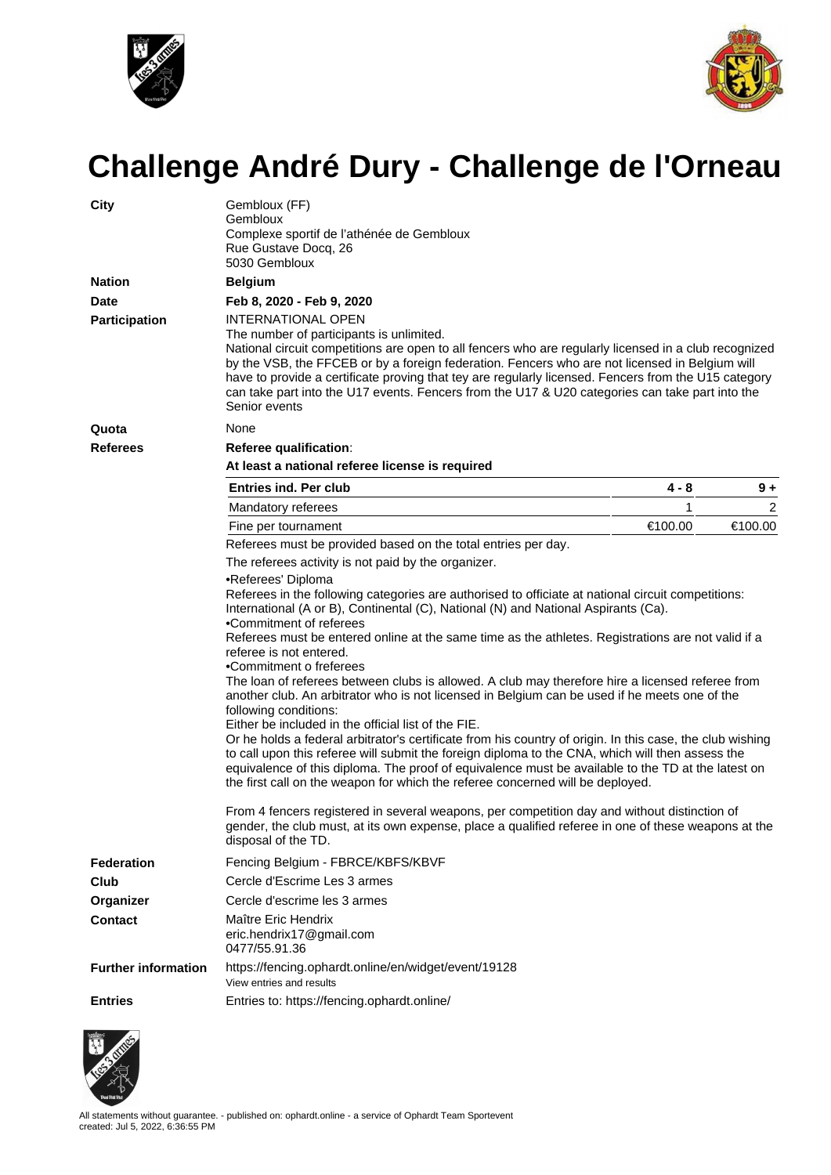



## **Challenge André Dury - Challenge de l'Orneau**

| <b>City</b>                 | Gembloux (FF)<br>Gembloux<br>Complexe sportif de l'athénée de Gembloux<br>Rue Gustave Docq, 26<br>5030 Gembloux                                                                                                                                                                                                                                                                                                                                                                                                                                                                                                                                                                                                                                                                                                                                                                                                                                                                                                                                                                                                                                                                                                                                                                                            |         |         |  |  |  |  |  |  |
|-----------------------------|------------------------------------------------------------------------------------------------------------------------------------------------------------------------------------------------------------------------------------------------------------------------------------------------------------------------------------------------------------------------------------------------------------------------------------------------------------------------------------------------------------------------------------------------------------------------------------------------------------------------------------------------------------------------------------------------------------------------------------------------------------------------------------------------------------------------------------------------------------------------------------------------------------------------------------------------------------------------------------------------------------------------------------------------------------------------------------------------------------------------------------------------------------------------------------------------------------------------------------------------------------------------------------------------------------|---------|---------|--|--|--|--|--|--|
| <b>Nation</b>               | <b>Belgium</b>                                                                                                                                                                                                                                                                                                                                                                                                                                                                                                                                                                                                                                                                                                                                                                                                                                                                                                                                                                                                                                                                                                                                                                                                                                                                                             |         |         |  |  |  |  |  |  |
| <b>Date</b>                 | Feb 8, 2020 - Feb 9, 2020                                                                                                                                                                                                                                                                                                                                                                                                                                                                                                                                                                                                                                                                                                                                                                                                                                                                                                                                                                                                                                                                                                                                                                                                                                                                                  |         |         |  |  |  |  |  |  |
| <b>Participation</b>        | <b>INTERNATIONAL OPEN</b><br>The number of participants is unlimited.<br>National circuit competitions are open to all fencers who are regularly licensed in a club recognized<br>by the VSB, the FFCEB or by a foreign federation. Fencers who are not licensed in Belgium will<br>have to provide a certificate proving that tey are regularly licensed. Fencers from the U15 category<br>can take part into the U17 events. Fencers from the U17 & U20 categories can take part into the<br>Senior events                                                                                                                                                                                                                                                                                                                                                                                                                                                                                                                                                                                                                                                                                                                                                                                               |         |         |  |  |  |  |  |  |
| Quota                       | None                                                                                                                                                                                                                                                                                                                                                                                                                                                                                                                                                                                                                                                                                                                                                                                                                                                                                                                                                                                                                                                                                                                                                                                                                                                                                                       |         |         |  |  |  |  |  |  |
| <b>Referees</b>             | Referee qualification:                                                                                                                                                                                                                                                                                                                                                                                                                                                                                                                                                                                                                                                                                                                                                                                                                                                                                                                                                                                                                                                                                                                                                                                                                                                                                     |         |         |  |  |  |  |  |  |
|                             | At least a national referee license is required                                                                                                                                                                                                                                                                                                                                                                                                                                                                                                                                                                                                                                                                                                                                                                                                                                                                                                                                                                                                                                                                                                                                                                                                                                                            |         |         |  |  |  |  |  |  |
|                             | <b>Entries ind. Per club</b>                                                                                                                                                                                                                                                                                                                                                                                                                                                                                                                                                                                                                                                                                                                                                                                                                                                                                                                                                                                                                                                                                                                                                                                                                                                                               | 4 - 8   | $9+$    |  |  |  |  |  |  |
|                             | Mandatory referees                                                                                                                                                                                                                                                                                                                                                                                                                                                                                                                                                                                                                                                                                                                                                                                                                                                                                                                                                                                                                                                                                                                                                                                                                                                                                         | 1       | 2       |  |  |  |  |  |  |
|                             | Fine per tournament                                                                                                                                                                                                                                                                                                                                                                                                                                                                                                                                                                                                                                                                                                                                                                                                                                                                                                                                                                                                                                                                                                                                                                                                                                                                                        | €100.00 | €100.00 |  |  |  |  |  |  |
|                             | Referees must be provided based on the total entries per day.                                                                                                                                                                                                                                                                                                                                                                                                                                                                                                                                                                                                                                                                                                                                                                                                                                                                                                                                                                                                                                                                                                                                                                                                                                              |         |         |  |  |  |  |  |  |
|                             | The referees activity is not paid by the organizer.                                                                                                                                                                                                                                                                                                                                                                                                                                                                                                                                                                                                                                                                                                                                                                                                                                                                                                                                                                                                                                                                                                                                                                                                                                                        |         |         |  |  |  |  |  |  |
|                             | •Referees' Diploma<br>Referees in the following categories are authorised to officiate at national circuit competitions:<br>International (A or B), Continental (C), National (N) and National Aspirants (Ca).<br>•Commitment of referees<br>Referees must be entered online at the same time as the athletes. Registrations are not valid if a<br>referee is not entered.<br>•Commitment o freferees<br>The loan of referees between clubs is allowed. A club may therefore hire a licensed referee from<br>another club. An arbitrator who is not licensed in Belgium can be used if he meets one of the<br>following conditions:<br>Either be included in the official list of the FIE.<br>Or he holds a federal arbitrator's certificate from his country of origin. In this case, the club wishing<br>to call upon this referee will submit the foreign diploma to the CNA, which will then assess the<br>equivalence of this diploma. The proof of equivalence must be available to the TD at the latest on<br>the first call on the weapon for which the referee concerned will be deployed.<br>From 4 fencers registered in several weapons, per competition day and without distinction of<br>gender, the club must, at its own expense, place a qualified referee in one of these weapons at the |         |         |  |  |  |  |  |  |
|                             | disposal of the TD.                                                                                                                                                                                                                                                                                                                                                                                                                                                                                                                                                                                                                                                                                                                                                                                                                                                                                                                                                                                                                                                                                                                                                                                                                                                                                        |         |         |  |  |  |  |  |  |
| <b>Federation</b><br>Club   | Fencing Belgium - FBRCE/KBFS/KBVF<br>Cercle d'Escrime Les 3 armes                                                                                                                                                                                                                                                                                                                                                                                                                                                                                                                                                                                                                                                                                                                                                                                                                                                                                                                                                                                                                                                                                                                                                                                                                                          |         |         |  |  |  |  |  |  |
|                             |                                                                                                                                                                                                                                                                                                                                                                                                                                                                                                                                                                                                                                                                                                                                                                                                                                                                                                                                                                                                                                                                                                                                                                                                                                                                                                            |         |         |  |  |  |  |  |  |
| Organizer<br><b>Contact</b> | Cercle d'escrime les 3 armes<br>Maître Eric Hendrix<br>eric.hendrix17@gmail.com                                                                                                                                                                                                                                                                                                                                                                                                                                                                                                                                                                                                                                                                                                                                                                                                                                                                                                                                                                                                                                                                                                                                                                                                                            |         |         |  |  |  |  |  |  |
| <b>Further information</b>  | 0477/55.91.36<br>https://fencing.ophardt.online/en/widget/event/19128<br>View entries and results                                                                                                                                                                                                                                                                                                                                                                                                                                                                                                                                                                                                                                                                                                                                                                                                                                                                                                                                                                                                                                                                                                                                                                                                          |         |         |  |  |  |  |  |  |
| <b>Entries</b>              | Entries to: https://fencing.ophardt.online/                                                                                                                                                                                                                                                                                                                                                                                                                                                                                                                                                                                                                                                                                                                                                                                                                                                                                                                                                                                                                                                                                                                                                                                                                                                                |         |         |  |  |  |  |  |  |